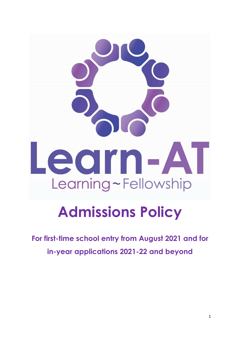# earn-AT Learning~Fellowship

# **Admissions Policy**

**For first-time school entry from August 2021 and for in-year applications 2021-22 and beyond**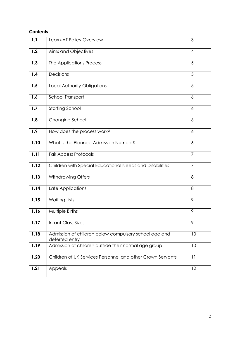### **Contents**

| 1.1  | Learn-AT Policy Overview                                                | 3              |
|------|-------------------------------------------------------------------------|----------------|
| 1.2  | Aims and Objectives                                                     | $\overline{4}$ |
| 1.3  | The Applications Process                                                | 5              |
| 1.4  | Decisions                                                               | 5              |
| 1.5  | Local Authority Obligations                                             | 5              |
| 1.6  | School Transport                                                        | 6              |
| 1.7  | <b>Starting School</b>                                                  | $\epsilon$     |
| 1.8  | Changing School                                                         | $\overline{6}$ |
| 1.9  | How does the process work?                                              | 6              |
| 1.10 | What is the Planned Admission Number?                                   | 6              |
| 1.11 | <b>Fair Access Protocols</b>                                            | $\overline{7}$ |
| 1.12 | Children with Special Educational Needs and Disabilities                | $\overline{7}$ |
| 1.13 | Withdrawing Offers                                                      | 8              |
| 1.14 | Late Applications                                                       | 8              |
| 1.15 | <b>Waiting Lists</b>                                                    | 9              |
| 1.16 | Multiple Births                                                         | 9              |
| 1.17 | <b>Infant Class Sizes</b>                                               | 9              |
| 1.18 | Admission of children below compulsory school age and<br>deferred entry | 10             |
| 1.19 | Admission of children outside their normal age group                    | 10             |
| 1.20 | Children of UK Services Personnel and other Crown Servants              | 11             |
| 1.21 | Appeals                                                                 | 12             |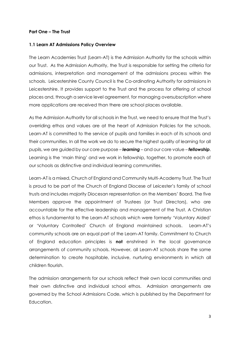### **Part One – The Trust**

### **1.1 Learn AT Admissions Policy Overview**

The Learn Academies Trust (Learn-AT) is the Admission Authority for the schools within our Trust. As the Admission Authority, the Trust is responsible for setting the criteria for admissions, interpretation and management of the admissions process within the schools. Leicestershire County Council is the Co-ordinating Authority for admissions in Leicestershire. It provides support to the Trust and the process for offering of school places and, through a service level agreement, for managing oversubscription where more applications are received than there are school places available.

As the Admission Authority for all schools in the Trust, we need to ensure that the Trust's overriding ethos and values are at the heart of Admission Policies for the schools. Learn-AT is committed to the service of pupils and families in each of its schools and their communities. In all the work we do to secure the highest quality of learning for all pupils, we are guided by our core purpose – *learning* – and our core value – *fellowship*. Learning is the 'main thing' and we work in fellowship, together, to promote each of our schools as distinctive and individual learning communities.

Learn-AT is a mixed, Church of England and Community Multi-Academy Trust. The Trust is proud to be part of the Church of England Diocese of Leicester's family of school trusts and includes majority Diocesan representation on the Members' Board. The five Members approve the appointment of Trustees (or Trust Directors), who are accountable for the effective leadership and management of the Trust. A Christian ethos is fundamental to the Learn-AT schools which were formerly 'Voluntary Aided' or 'Voluntary Controlled' Church of England maintained schools. Learn-AT's community schools are an equal part of the Learn-AT family. Commitment to Church of England education principles is **not** enshrined in the local governance arrangements of community schools. However, all Learn-AT schools share the same determination to create hospitable, inclusive, nurturing environments in which all children flourish.

The admission arrangements for our schools reflect their own local communities and their own distinctive and individual school ethos. Admission arrangements are governed by the School Admissions Code, which is published by the Department for Education.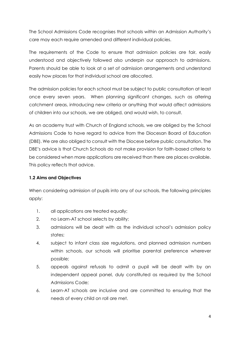The School Admissions Code recognises that schools within an Admission Authority's care may each require amended and different individual policies.

The requirements of the Code to ensure that admission policies are fair, easily understood and objectively followed also underpin our approach to admissions. Parents should be able to look at a set of admission arrangements and understand easily how places for that individual school are allocated.

The admission policies for each school must be subject to public consultation at least once every seven years. When planning significant changes, such as altering catchment areas, introducing new criteria or anything that would affect admissions of children into our schools, we are obliged, and would wish, to consult.

As an academy trust with Church of England schools, we are obliged by the School Admissions Code to have regard to advice from the Diocesan Board of Education (DBE). We are also obliged to consult with the Diocese before public consultation. The DBE's advice is that Church Schools do not make provision for faith-based criteria to be considered when more applications are received than there are places available. This policy reflects that advice.

### **1.2 Aims and Objectives**

When considering admission of pupils into any of our schools, the following principles apply:

- 1. all applications are treated equally;
- 2. no Learn-AT school selects by ability;
- 3. admissions will be dealt with as the individual school's admission policy states:
- 4. subject to infant class size regulations, and planned admission numbers within schools, our schools will prioritise parental preference wherever possible;
- 5. appeals against refusals to admit a pupil will be dealt with by an independent appeal panel, duly constituted as required by the School Admissions Code;
- 6. Learn-AT schools are inclusive and are committed to ensuring that the needs of every child on roll are met.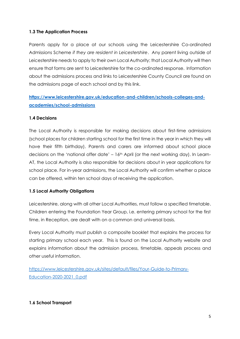### **1.3 The Application Process**

Parents apply for a place at our schools using the Leicestershire Co-ordinated Admissions Scheme *if they are resident in Leicestershire*. Any parent living outside of Leicestershire needs to apply to their own Local Authority; that Local Authority will then ensure that forms are sent to Leicestershire for the co-ordinated response. Information about the admissions process and links to Leicestershire County Council are found on the admissions page of each school and by this link.

**[https://www.leicestershire.gov.uk/education-and-children/schools-colleges-and](https://www.leicestershire.gov.uk/education-and-children/schools-colleges-and-academies/school-admissions)[academies/school-admissions](https://www.leicestershire.gov.uk/education-and-children/schools-colleges-and-academies/school-admissions)**

### **1.4 Decisions**

The Local Authority is responsible for making decisions about first-time admissions (school places for children starting school for the first time in the year in which they will have their fifth birthday). Parents and carers are informed about school place decisions on the 'national offer date'  $-16$ <sup>th</sup> April (or the next working day). In Learn-AT, the Local Authority is also responsible for decisions about in year applications for school place. For in-year admissions, the Local Authority will confirm whether a place can be offered, within ten school days of receiving the application.

### **1.5 Local Authority Obligations**

Leicestershire, along with all other Local Authorities, must follow a specified timetable. Children entering the Foundation Year Group, i.e. entering primary school for the first time, in Reception, are dealt with on a common and universal basis.

Every Local Authority must publish a composite booklet that explains the process for starting primary school each year. This is found on the Local Authority website and explains information about the admission process, timetable, appeals process and other useful information.

https://www.leicestershire.gov.uk/sites/default/files/Your-Guide-to-Primary-Education-2020-2021\_0.pdf

### **1.6 School Transport**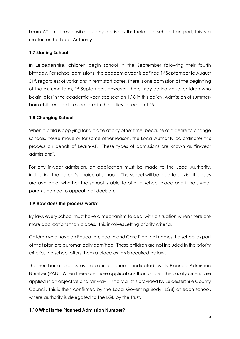Learn AT is not responsible for any decisions that relate to school transport, this is a matter for the Local Authority.

### **1.7 Starting School**

In Leicestershire, children begin school in the September following their fourth birthday. For school admissions, the academic year is defined 1st September to August 31<sup>st</sup>, regardless of variations in term start dates. There is one admission at the beginning of the Autumn term, 1st September. However, there may be individual children who begin later in the academic year, see section 1.18 in this policy. Admission of summerborn children is addressed later in the policy in section 1.19.

### **1.8 Changing School**

When a child is applying for a place at any other time, because of a desire to change schools, house move or for some other reason, the Local Authority co-ordinates this process on behalf of Learn-AT. These types of admissions are known as "in-year admissions".

For any in-year admission, an application must be made to the Local Authority, indicating the parent's choice of school. The school will be able to advise if places are available, whether the school is able to offer a school place and if not, what parents can do to appeal that decision.

### **1.9 How does the process work?**

By law, every school must have a mechanism to deal with a situation when there are more applications than places. This involves setting priority criteria.

Children who have an Education, Health and Care Plan that names the school as part of that plan are automatically admitted. These children are not included in the priority criteria, the school offers them a place as this is required by law.

The number of places available in a school is indicated by its Planned Admission Number (PAN). When there are more applications than places, the priority criteria are applied in an objective and fair way. Initially a list is provided by Leicestershire County Council. This is then confirmed by the Local Governing Body (LGB) at each school, where authority is delegated to the LGB by the Trust.

### **1.10 What is the Planned Admission Number?**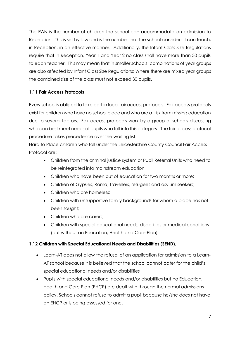The PAN is the number of children the school can accommodate on admission to Reception. This is set by law and is the number that the school considers it can teach, in Reception, in an effective manner. Additionally, the Infant Class Size Regulations require that in Reception, Year 1 and Year 2 no class shall have more than 30 pupils to each teacher. This may mean that in smaller schools, combinations of year groups are also affected by Infant Class Size Regulations; Where there are mixed year groups the combined size of the class must not exceed 30 pupils.

### **1.11 Fair Access Protocols**

Every school is obliged to take part in local fair access protocols. Fair access protocols exist for children who have no school place and who are at risk from missing education due to several factors. Fair access protocols work by a group of schools discussing who can best meet needs of pupils who fall into this category. The fair access protocol procedure takes precedence over the waiting list.

Hard to Place children who fall under the Leicestershire County Council Fair Access Protocol are:

- Children from the criminal justice system or Pupil Referral Units who need to be reintegrated into mainstream education
- Children who have been out of education for two months or more;
- Children of Gypsies, Roma, Travellers, refugees and asylum seekers;
- Children who are homeless:
- Children with unsupportive family backgrounds for whom a place has not been sought;
- Children who are carers:
- Children with special educational needs, disabilities or medical conditions (but without an Education, Health and Care Plan)

### **1.12 Children with Special Educational Needs and Disabilities (SEND).**

- Learn-AT does not allow the refusal of an application for admission to a Learn-AT school because it is believed that the school cannot cater for the child's special educational needs and/or disabilities
- Pupils with special educational needs and/or disabilities but no Education, Health and Care Plan (EHCP) are dealt with through the normal admissions policy. Schools cannot refuse to admit a pupil because he/she does not have an EHCP or is being assessed for one.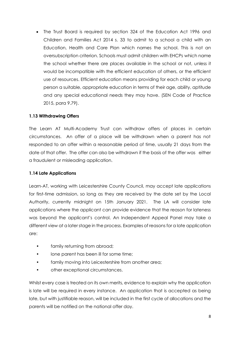• The Trust Board is required by section 324 of the Education Act 1996 and Children and Families Act 2014 s. 33 to admit to a school a child with an Education, Health and Care Plan which names the school. This is not an oversubscription criterion. Schools must admit children with EHCPs which name the school whether there are places available in the school or not, unless it would be incompatible with the efficient education of others, or the efficient use of resources. Efficient education means providing for each child or young person a suitable, appropriate education in terms of their age, ability, aptitude and any special educational needs they may have. (SEN Code of Practice 2015, para 9.79).

### **1.13 Withdrawing Offers**

The Learn AT Multi-Academy Trust can withdraw offers of places in certain circumstances. An offer of a place will be withdrawn when a parent has not responded to an offer within a reasonable period of time, usually 21 days from the date of that offer. The offer can also be withdrawn if the basis of the offer was either a fraudulent or misleading application.

### **1.14 Late Applications**

Learn-AT, working with Leicestershire County Council, may accept late applications for first-time admission, so long as they are received by the date set by the Local Authority, currently midnight on 15th January 2021. The LA will consider late applications where the applicant can provide evidence that the reason for lateness was beyond the applicant's control. An Independent Appeal Panel may take a different view at a later stage in the process. Examples of reasons for a late application are:

- family returning from abroad;
- lone parent has been ill for some time;
- family moving into Leicestershire from another area;
- other exceptional circumstances.

Whilst every case is treated on its own merits, evidence to explain why the application is late will be required in every instance. An application that is accepted as being late, but with justifiable reason, will be included in the first cycle of allocations and the parents will be notified on the national offer day.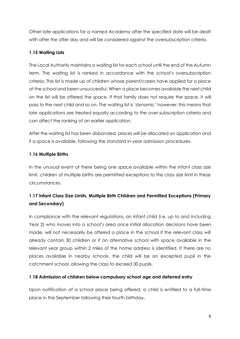Other late applications for a named Academy after the specified date will be dealt with after the offer day and will be considered against the oversubscription criteria.

### **1.15 Waiting Lists**

The Local Authority maintains a waiting list for each school until the end of the Autumn term. The waiting list is ranked in accordance with the school's oversubscription criteria. The list is made up of children whose parent/carers have applied for a place at the school and been unsuccessful. When a place becomes available the next child on the list will be offered the space. If that family does not require the space, it will pass to the next child and so on. The waiting list is 'dynamic' however; this means that late applications are treated equally according to the over-subscription criteria and can affect the ranking of an earlier application.

After the waiting list has been disbanded, places will be allocated on application and if a space is available, following the standard in-year admission procedures.

### **1.16 Multiple Births**

In the unusual event of there being one space available within the infant class size limit, children of multiple births are permitted exceptions to the class size limit in these circumstances.

## **1.17 Infant Class Size Limits, Multiple Birth Children and Permitted Exceptions (Primary and Secondary)**

In compliance with the relevant regulations, an infant child (i.e. up to and including Year 2) who moves into a school's area once initial allocation decisions have been made, will not necessarily be offered a place in the school if the relevant class will already contain 30 children *or* if an alternative school with space available in the relevant year group within 2 miles of the home address is identified. If there are no places available in nearby schools, the child will be an excepted pupil in the catchment school, allowing the class to exceed 30 pupils.

### **1.18 Admission of children below compulsory school age and deferred entry**

Upon notification of a school place being offered, a child is entitled to a full-time place in the September following their fourth birthday.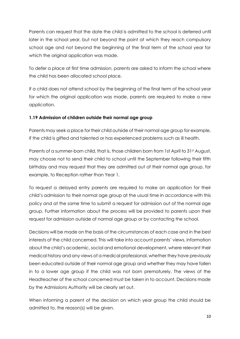Parents can request that the date the child is admitted to the school is deferred until later in the school year, but not beyond the point at which they reach compulsory school age and not beyond the beginning of the final term of the school year for which the original application was made.

To defer a place at first time admission, parents are asked to inform the school where the child has been allocated school place.

If a child does not attend school by the beginning of the final term of the school year for which the original application was made, parents are required to make a new application.

### **1.19 Admission of children outside their normal age group**

Parents may seek a place for their child outside of their normal age group for example, if the child is gifted and talented or has experienced problems such as ill health.

Parents of a summer-born child, that is, those children born from 1st April to 31st August, may choose not to send their child to school until the September following their fifth birthday and may request that they are admitted out of their normal age group, for example, to Reception rather than Year 1.

To request a delayed entry parents are required to make an application for their child's admission to their normal age group at the usual time in accordance with this policy and at the same time to submit a request for admission out of the normal age group. Further information about the process will be provided to parents upon their request for admission outside of normal age group or by contacting the school.

Decisions will be made on the basis of the circumstances of each case and in the best interests of the child concerned. This will take into account parents' views, information about the child's academic, social and emotional development, where relevant their medical history and any views of a medical professional, whether they have previously been educated outside of their normal age group and whether they may have fallen in to a lower age group if the child was not born prematurely. The views of the Headteacher of the school concerned must be taken in to account. Decisions made by the Admissions Authority will be clearly set out.

When informing a parent of the decision on which year group the child should be admitted to, the reason(s) will be given.